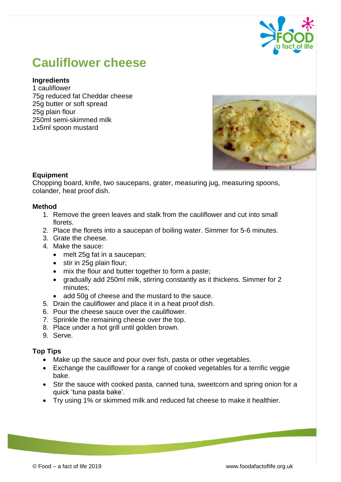

# **Cauliflower cheese**

### **Ingredients**

1 cauliflower 75g reduced fat Cheddar cheese 25g butter or soft spread 25g plain flour 250ml semi-skimmed milk 1x5ml spoon mustard



## **Equipment**

Chopping board, knife, two saucepans, grater, measuring jug, measuring spoons, colander, heat proof dish.

#### **Method**

- 1. Remove the green leaves and stalk from the cauliflower and cut into small florets.
- 2. Place the florets into a saucepan of boiling water. Simmer for 5-6 minutes.
- 3. Grate the cheese.
- 4. Make the sauce:
	- melt 25g fat in a saucepan;
	- stir in 25g plain flour;
	- mix the flour and butter together to form a paste;
	- gradually add 250ml milk, stirring constantly as it thickens. Simmer for 2 minutes;
	- add 50g of cheese and the mustard to the sauce.
- 5. Drain the cauliflower and place it in a heat proof dish.
- 6. Pour the cheese sauce over the cauliflower.
- 7. Sprinkle the remaining cheese over the top.
- 8. Place under a hot grill until golden brown.
- 9. Serve.

#### **Top Tips**

- Make up the sauce and pour over fish, pasta or other vegetables.
- Exchange the cauliflower for a range of cooked vegetables for a terrific veggie bake.
- Stir the sauce with cooked pasta, canned tuna, sweetcorn and spring onion for a quick 'tuna pasta bake'.
- Try using 1% or skimmed milk and reduced fat cheese to make it healthier.